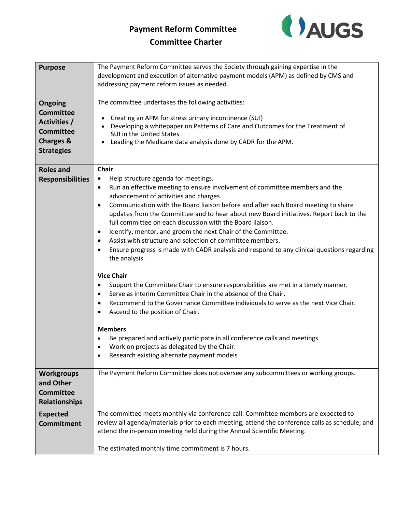## **Payment Reform Committee**



## **Committee Charter**

| <b>Purpose</b>          | The Payment Reform Committee serves the Society through gaining expertise in the<br>development and execution of alternative payment models (APM) as defined by CMS and |
|-------------------------|-------------------------------------------------------------------------------------------------------------------------------------------------------------------------|
|                         | addressing payment reform issues as needed.                                                                                                                             |
|                         |                                                                                                                                                                         |
| Ongoing                 | The committee undertakes the following activities:                                                                                                                      |
| <b>Committee</b>        | Creating an APM for stress urinary incontinence (SUI)<br>$\bullet$                                                                                                      |
| Activities /            | Developing a whitepaper on Patterns of Care and Outcomes for the Treatment of                                                                                           |
| <b>Committee</b>        | SUI in the United States                                                                                                                                                |
| <b>Charges &amp;</b>    | Leading the Medicare data analysis done by CADR for the APM.<br>$\bullet$                                                                                               |
| <b>Strategies</b>       |                                                                                                                                                                         |
| <b>Roles and</b>        | Chair                                                                                                                                                                   |
| <b>Responsibilities</b> | Help structure agenda for meetings.<br>$\bullet$                                                                                                                        |
|                         | Run an effective meeting to ensure involvement of committee members and the<br>$\bullet$<br>advancement of activities and charges.                                      |
|                         | Communication with the Board liaison before and after each Board meeting to share<br>$\bullet$                                                                          |
|                         | updates from the Committee and to hear about new Board initiatives. Report back to the                                                                                  |
|                         | full committee on each discussion with the Board liaison.                                                                                                               |
|                         | Identify, mentor, and groom the next Chair of the Committee.<br>$\bullet$<br>Assist with structure and selection of committee members.<br>$\bullet$                     |
|                         | Ensure progress is made with CADR analysis and respond to any clinical questions regarding                                                                              |
|                         | the analysis.                                                                                                                                                           |
|                         | <b>Vice Chair</b>                                                                                                                                                       |
|                         | Support the Committee Chair to ensure responsibilities are met in a timely manner.<br>$\bullet$                                                                         |
|                         | Serve as interim Committee Chair in the absence of the Chair.<br>$\bullet$                                                                                              |
|                         | Recommend to the Governance Committee individuals to serve as the next Vice Chair.<br>$\bullet$<br>Ascend to the position of Chair.<br>$\bullet$                        |
|                         | <b>Members</b>                                                                                                                                                          |
|                         | Be prepared and actively participate in all conference calls and meetings.                                                                                              |
|                         | Work on projects as delegated by the Chair.                                                                                                                             |
|                         | Research existing alternate payment models                                                                                                                              |
| <b>Workgroups</b>       | The Payment Reform Committee does not oversee any subcommittees or working groups.                                                                                      |
| and Other               |                                                                                                                                                                         |
| <b>Committee</b>        |                                                                                                                                                                         |
| <b>Relationships</b>    |                                                                                                                                                                         |
| <b>Expected</b>         | The committee meets monthly via conference call. Committee members are expected to                                                                                      |
| <b>Commitment</b>       | review all agenda/materials prior to each meeting, attend the conference calls as schedule, and                                                                         |
|                         | attend the in-person meeting held during the Annual Scientific Meeting.                                                                                                 |
|                         | The estimated monthly time commitment is 7 hours.                                                                                                                       |